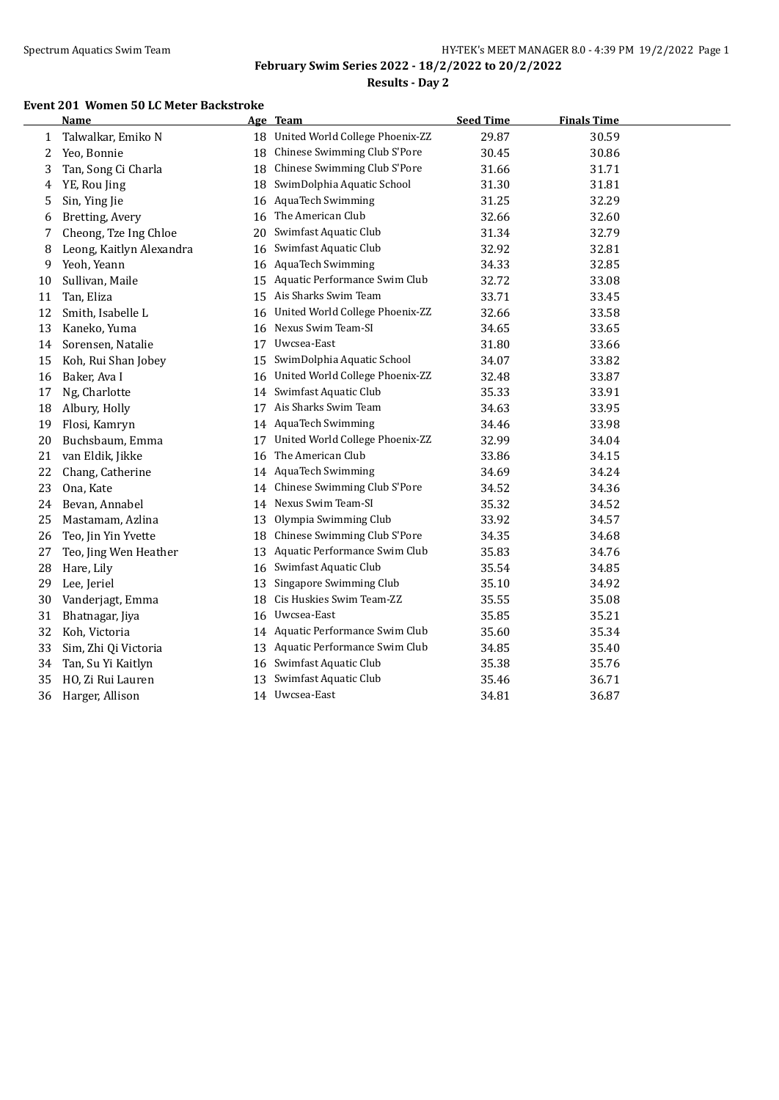# **Results - Day 2**

#### **Event 201 Women 50 LC Meter Backstroke**

|    | <b>Name</b>              |    | Age Team                           | <b>Seed Time</b> | <b>Finals Time</b> |  |
|----|--------------------------|----|------------------------------------|------------------|--------------------|--|
| 1  | Talwalkar, Emiko N       |    | 18 United World College Phoenix-ZZ | 29.87            | 30.59              |  |
| 2  | Yeo, Bonnie              | 18 | Chinese Swimming Club S'Pore       | 30.45            | 30.86              |  |
| 3  | Tan, Song Ci Charla      | 18 | Chinese Swimming Club S'Pore       | 31.66            | 31.71              |  |
| 4  | YE, Rou Jing             | 18 | SwimDolphia Aquatic School         | 31.30            | 31.81              |  |
| 5  | Sin, Ying Jie            | 16 | <b>AquaTech Swimming</b>           | 31.25            | 32.29              |  |
| 6  | Bretting, Avery          | 16 | The American Club                  | 32.66            | 32.60              |  |
| 7  | Cheong, Tze Ing Chloe    | 20 | Swimfast Aquatic Club              | 31.34            | 32.79              |  |
| 8  | Leong, Kaitlyn Alexandra | 16 | Swimfast Aquatic Club              | 32.92            | 32.81              |  |
| 9  | Yeoh, Yeann              | 16 | <b>AquaTech Swimming</b>           | 34.33            | 32.85              |  |
| 10 | Sullivan, Maile          | 15 | Aquatic Performance Swim Club      | 32.72            | 33.08              |  |
| 11 | Tan, Eliza               | 15 | Ais Sharks Swim Team               | 33.71            | 33.45              |  |
| 12 | Smith, Isabelle L        | 16 | United World College Phoenix-ZZ    | 32.66            | 33.58              |  |
| 13 | Kaneko, Yuma             | 16 | Nexus Swim Team-SI                 | 34.65            | 33.65              |  |
| 14 | Sorensen, Natalie        | 17 | Uwcsea-East                        | 31.80            | 33.66              |  |
| 15 | Koh, Rui Shan Jobey      | 15 | SwimDolphia Aquatic School         | 34.07            | 33.82              |  |
| 16 | Baker, Ava I             | 16 | United World College Phoenix-ZZ    | 32.48            | 33.87              |  |
| 17 | Ng, Charlotte            | 14 | Swimfast Aquatic Club              | 35.33            | 33.91              |  |
| 18 | Albury, Holly            | 17 | Ais Sharks Swim Team               | 34.63            | 33.95              |  |
| 19 | Flosi, Kamryn            | 14 | <b>AquaTech Swimming</b>           | 34.46            | 33.98              |  |
| 20 | Buchsbaum, Emma          | 17 | United World College Phoenix-ZZ    | 32.99            | 34.04              |  |
| 21 | van Eldik, Jikke         | 16 | The American Club                  | 33.86            | 34.15              |  |
| 22 | Chang, Catherine         | 14 | <b>AquaTech Swimming</b>           | 34.69            | 34.24              |  |
| 23 | Ona, Kate                | 14 | Chinese Swimming Club S'Pore       | 34.52            | 34.36              |  |
| 24 | Bevan, Annabel           |    | 14 Nexus Swim Team-SI              | 35.32            | 34.52              |  |
| 25 | Mastamam, Azlina         | 13 | Olympia Swimming Club              | 33.92            | 34.57              |  |
| 26 | Teo, Jin Yin Yvette      | 18 | Chinese Swimming Club S'Pore       | 34.35            | 34.68              |  |
| 27 | Teo, Jing Wen Heather    | 13 | Aquatic Performance Swim Club      | 35.83            | 34.76              |  |
| 28 | Hare, Lily               | 16 | Swimfast Aquatic Club              | 35.54            | 34.85              |  |
| 29 | Lee, Jeriel              | 13 | Singapore Swimming Club            | 35.10            | 34.92              |  |
| 30 | Vanderjagt, Emma         | 18 | Cis Huskies Swim Team-ZZ           | 35.55            | 35.08              |  |
| 31 | Bhatnagar, Jiya          |    | 16 Uwcsea-East                     | 35.85            | 35.21              |  |
| 32 | Koh, Victoria            | 14 | Aquatic Performance Swim Club      | 35.60            | 35.34              |  |
| 33 | Sim, Zhi Qi Victoria     | 13 | Aquatic Performance Swim Club      | 34.85            | 35.40              |  |
| 34 | Tan, Su Yi Kaitlyn       | 16 | Swimfast Aquatic Club              | 35.38            | 35.76              |  |
| 35 | HO, Zi Rui Lauren        | 13 | Swimfast Aquatic Club              | 35.46            | 36.71              |  |
| 36 | Harger, Allison          |    | 14 Uwcsea-East                     | 34.81            | 36.87              |  |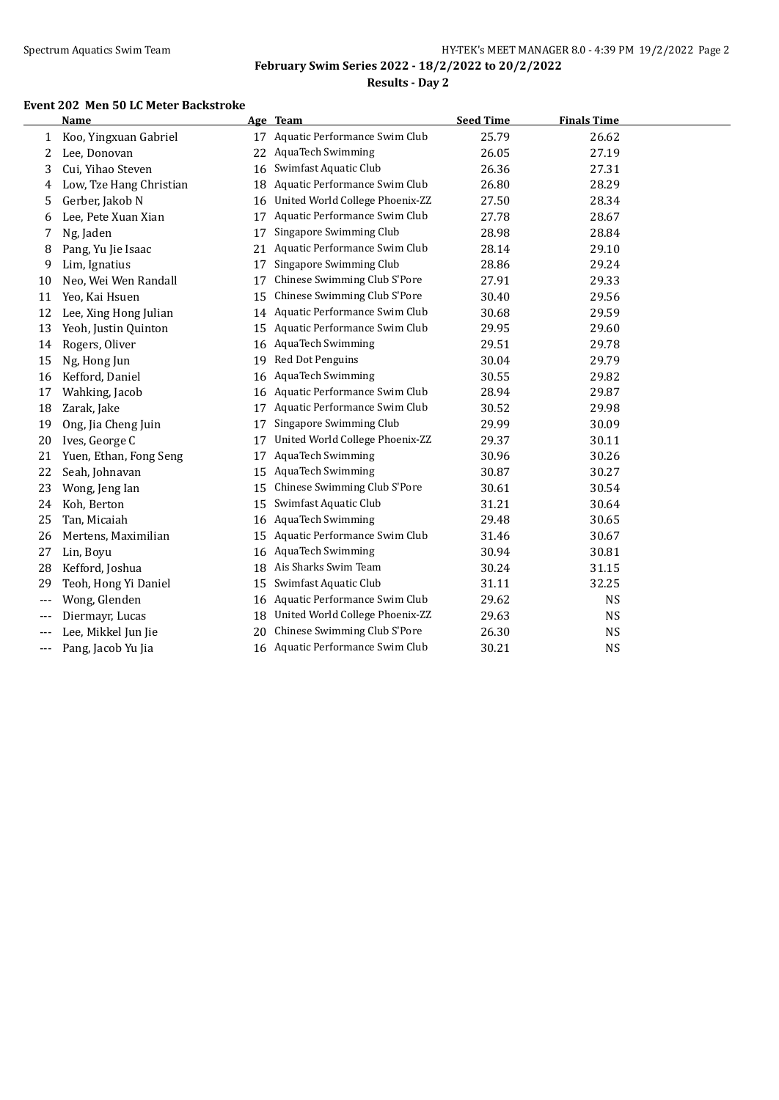# **Results - Day 2**

### **Event 202 Men 50 LC Meter Backstroke**

|       | <b>Name</b>             |    | Age Team                         | <b>Seed Time</b> | <b>Finals Time</b> |  |
|-------|-------------------------|----|----------------------------------|------------------|--------------------|--|
| 1     | Koo, Yingxuan Gabriel   | 17 | Aquatic Performance Swim Club    | 25.79            | 26.62              |  |
| 2     | Lee, Donovan            | 22 | <b>AquaTech Swimming</b>         | 26.05            | 27.19              |  |
| 3     | Cui, Yihao Steven       | 16 | Swimfast Aquatic Club            | 26.36            | 27.31              |  |
| 4     | Low, Tze Hang Christian | 18 | Aquatic Performance Swim Club    | 26.80            | 28.29              |  |
| 5     | Gerber, Jakob N         | 16 | United World College Phoenix-ZZ  | 27.50            | 28.34              |  |
| 6     | Lee, Pete Xuan Xian     | 17 | Aquatic Performance Swim Club    | 27.78            | 28.67              |  |
| 7     | Ng, Jaden               | 17 | Singapore Swimming Club          | 28.98            | 28.84              |  |
| 8     | Pang, Yu Jie Isaac      | 21 | Aquatic Performance Swim Club    | 28.14            | 29.10              |  |
| 9     | Lim, Ignatius           | 17 | Singapore Swimming Club          | 28.86            | 29.24              |  |
| 10    | Neo, Wei Wen Randall    | 17 | Chinese Swimming Club S'Pore     | 27.91            | 29.33              |  |
| 11    | Yeo, Kai Hsuen          | 15 | Chinese Swimming Club S'Pore     | 30.40            | 29.56              |  |
| 12    | Lee, Xing Hong Julian   | 14 | Aquatic Performance Swim Club    | 30.68            | 29.59              |  |
| 13    | Yeoh, Justin Quinton    | 15 | Aquatic Performance Swim Club    | 29.95            | 29.60              |  |
| 14    | Rogers, Oliver          | 16 | <b>AquaTech Swimming</b>         | 29.51            | 29.78              |  |
| 15    | Ng, Hong Jun            | 19 | Red Dot Penguins                 | 30.04            | 29.79              |  |
| 16    | Kefford, Daniel         | 16 | <b>AquaTech Swimming</b>         | 30.55            | 29.82              |  |
| 17    | Wahking, Jacob          | 16 | Aquatic Performance Swim Club    | 28.94            | 29.87              |  |
| 18    | Zarak, Jake             | 17 | Aquatic Performance Swim Club    | 30.52            | 29.98              |  |
| 19    | Ong, Jia Cheng Juin     | 17 | Singapore Swimming Club          | 29.99            | 30.09              |  |
| 20    | Ives, George C          | 17 | United World College Phoenix-ZZ  | 29.37            | 30.11              |  |
| 21    | Yuen, Ethan, Fong Seng  | 17 | <b>AquaTech Swimming</b>         | 30.96            | 30.26              |  |
| 22    | Seah, Johnavan          | 15 | <b>AquaTech Swimming</b>         | 30.87            | 30.27              |  |
| 23    | Wong, Jeng Ian          | 15 | Chinese Swimming Club S'Pore     | 30.61            | 30.54              |  |
| 24    | Koh, Berton             | 15 | Swimfast Aquatic Club            | 31.21            | 30.64              |  |
| 25    | Tan, Micaiah            | 16 | <b>AquaTech Swimming</b>         | 29.48            | 30.65              |  |
| 26    | Mertens, Maximilian     | 15 | Aquatic Performance Swim Club    | 31.46            | 30.67              |  |
| 27    | Lin, Boyu               | 16 | <b>AquaTech Swimming</b>         | 30.94            | 30.81              |  |
| 28    | Kefford, Joshua         | 18 | Ais Sharks Swim Team             | 30.24            | 31.15              |  |
| 29    | Teoh, Hong Yi Daniel    | 15 | Swimfast Aquatic Club            | 31.11            | 32.25              |  |
|       | Wong, Glenden           | 16 | Aquatic Performance Swim Club    | 29.62            | <b>NS</b>          |  |
|       | Diermayr, Lucas         | 18 | United World College Phoenix-ZZ  | 29.63            | <b>NS</b>          |  |
|       | Lee, Mikkel Jun Jie     | 20 | Chinese Swimming Club S'Pore     | 26.30            | NS                 |  |
| $---$ | Pang, Jacob Yu Jia      |    | 16 Aquatic Performance Swim Club | 30.21            | <b>NS</b>          |  |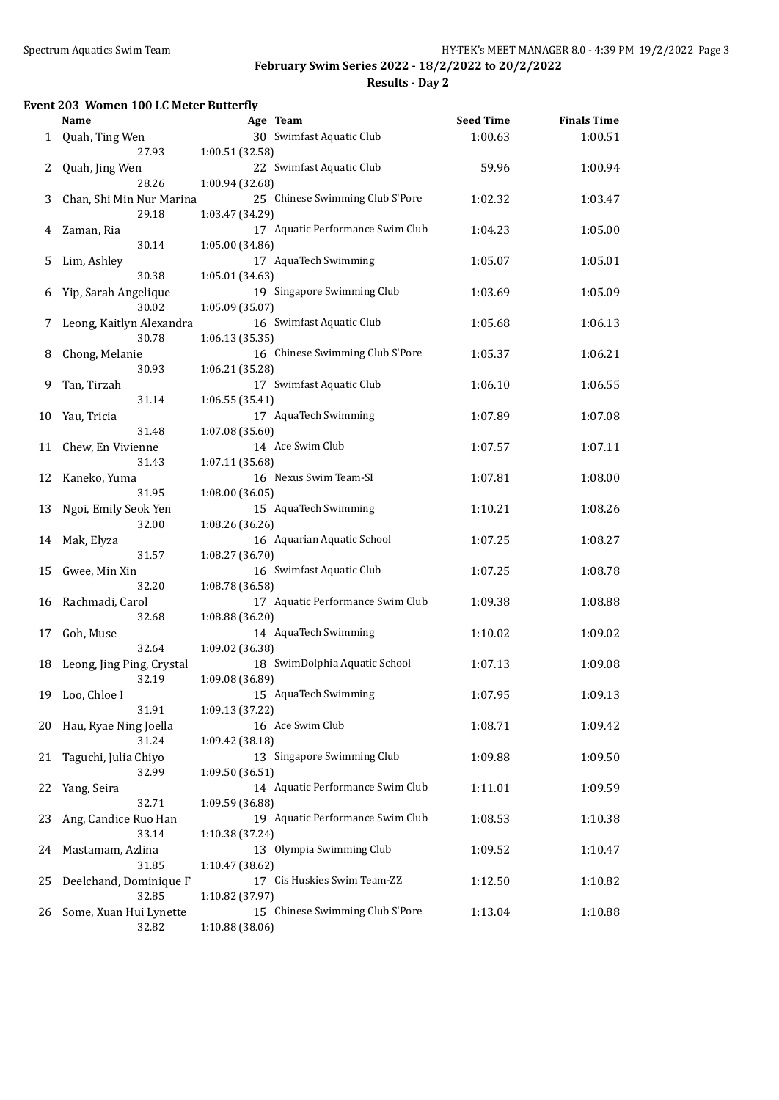$\overline{a}$ 

### **February Swim Series 2022 - 18/2/2022 to 20/2/2022 Results - Day 2**

### **Event 203 Women 100 LC Meter Butterfly**

|    | <b>Name</b>               | Age Team                         | <b>Seed Time</b> | <b>Finals Time</b> |  |
|----|---------------------------|----------------------------------|------------------|--------------------|--|
|    | 1 Quah, Ting Wen          | 30 Swimfast Aquatic Club         | 1:00.63          | 1:00.51            |  |
|    | 27.93                     | 1:00.51 (32.58)                  |                  |                    |  |
| 2  | Quah, Jing Wen            | 22 Swimfast Aquatic Club         | 59.96            | 1:00.94            |  |
|    | 28.26                     | 1:00.94 (32.68)                  |                  |                    |  |
| 3  | Chan, Shi Min Nur Marina  | 25 Chinese Swimming Club S'Pore  | 1:02.32          | 1:03.47            |  |
|    | 29.18                     | 1:03.47 (34.29)                  |                  |                    |  |
|    | Zaman, Ria                | 17 Aquatic Performance Swim Club | 1:04.23          | 1:05.00            |  |
| 4  | 30.14                     | 1:05.00 (34.86)                  |                  |                    |  |
|    | Lim, Ashley               | 17 AquaTech Swimming             |                  |                    |  |
| 5  | 30.38                     |                                  | 1:05.07          | 1:05.01            |  |
|    |                           | 1:05.01 (34.63)                  |                  |                    |  |
| 6  | Yip, Sarah Angelique      | 19 Singapore Swimming Club       | 1:03.69          | 1:05.09            |  |
|    | 30.02                     | 1:05.09 (35.07)                  |                  |                    |  |
| 7  | Leong, Kaitlyn Alexandra  | 16 Swimfast Aquatic Club         | 1:05.68          | 1:06.13            |  |
|    | 30.78                     | 1:06.13(35.35)                   |                  |                    |  |
| 8  | Chong, Melanie            | 16 Chinese Swimming Club S'Pore  | 1:05.37          | 1:06.21            |  |
|    | 30.93                     | 1:06.21 (35.28)                  |                  |                    |  |
| 9  | Tan, Tirzah               | 17 Swimfast Aquatic Club         | 1:06.10          | 1:06.55            |  |
|    | 31.14                     | 1:06.55 (35.41)                  |                  |                    |  |
| 10 | Yau, Tricia               | 17 AquaTech Swimming             | 1:07.89          | 1:07.08            |  |
|    | 31.48                     | 1:07.08(35.60)                   |                  |                    |  |
| 11 | Chew, En Vivienne         | 14 Ace Swim Club                 | 1:07.57          | 1:07.11            |  |
|    | 31.43                     | 1:07.11 (35.68)                  |                  |                    |  |
| 12 | Kaneko, Yuma              | 16 Nexus Swim Team-SI            | 1:07.81          | 1:08.00            |  |
|    | 31.95                     | 1:08.00 (36.05)                  |                  |                    |  |
| 13 | Ngoi, Emily Seok Yen      | 15 AquaTech Swimming             | 1:10.21          | 1:08.26            |  |
|    | 32.00                     | 1:08.26 (36.26)                  |                  |                    |  |
| 14 | Mak, Elyza                | 16 Aquarian Aquatic School       | 1:07.25          | 1:08.27            |  |
|    | 31.57                     | 1:08.27 (36.70)                  |                  |                    |  |
| 15 | Gwee, Min Xin             | 16 Swimfast Aquatic Club         | 1:07.25          | 1:08.78            |  |
|    | 32.20                     | 1:08.78 (36.58)                  |                  |                    |  |
| 16 | Rachmadi, Carol           | 17 Aquatic Performance Swim Club | 1:09.38          | 1:08.88            |  |
|    | 32.68                     | 1:08.88 (36.20)                  |                  |                    |  |
| 17 | Goh, Muse                 | 14 AquaTech Swimming             | 1:10.02          | 1:09.02            |  |
|    | 32.64                     | 1:09.02 (36.38)                  |                  |                    |  |
|    |                           | 18 SwimDolphia Aquatic School    |                  |                    |  |
| 18 | Leong, Jing Ping, Crystal |                                  | 1:07.13          | 1:09.08            |  |
|    | 32.19                     | 1:09.08 (36.89)                  |                  |                    |  |
|    | 19 Loo, Chloe I           | 15 AquaTech Swimming             | 1:07.95          | 1:09.13            |  |
|    | 31.91                     | 1:09.13 (37.22)                  |                  |                    |  |
| 20 | Hau, Ryae Ning Joella     | 16 Ace Swim Club                 | 1:08.71          | 1:09.42            |  |
|    | 31.24                     | 1:09.42 (38.18)                  |                  |                    |  |
| 21 | Taguchi, Julia Chiyo      | 13 Singapore Swimming Club       | 1:09.88          | 1:09.50            |  |
|    | 32.99                     | 1:09.50 (36.51)                  |                  |                    |  |
| 22 | Yang, Seira               | 14 Aquatic Performance Swim Club | 1:11.01          | 1:09.59            |  |
|    | 32.71                     | 1:09.59 (36.88)                  |                  |                    |  |
| 23 | Ang, Candice Ruo Han      | 19 Aquatic Performance Swim Club | 1:08.53          | 1:10.38            |  |
|    | 33.14                     | 1:10.38 (37.24)                  |                  |                    |  |
| 24 | Mastamam, Azlina          | 13 Olympia Swimming Club         | 1:09.52          | 1:10.47            |  |
|    | 31.85                     | 1:10.47 (38.62)                  |                  |                    |  |
| 25 | Deelchand, Dominique F    | 17 Cis Huskies Swim Team-ZZ      | 1:12.50          | 1:10.82            |  |
|    | 32.85                     | 1:10.82 (37.97)                  |                  |                    |  |
| 26 | Some, Xuan Hui Lynette    | 15 Chinese Swimming Club S'Pore  | 1:13.04          | 1:10.88            |  |
|    | 32.82                     | 1:10.88 (38.06)                  |                  |                    |  |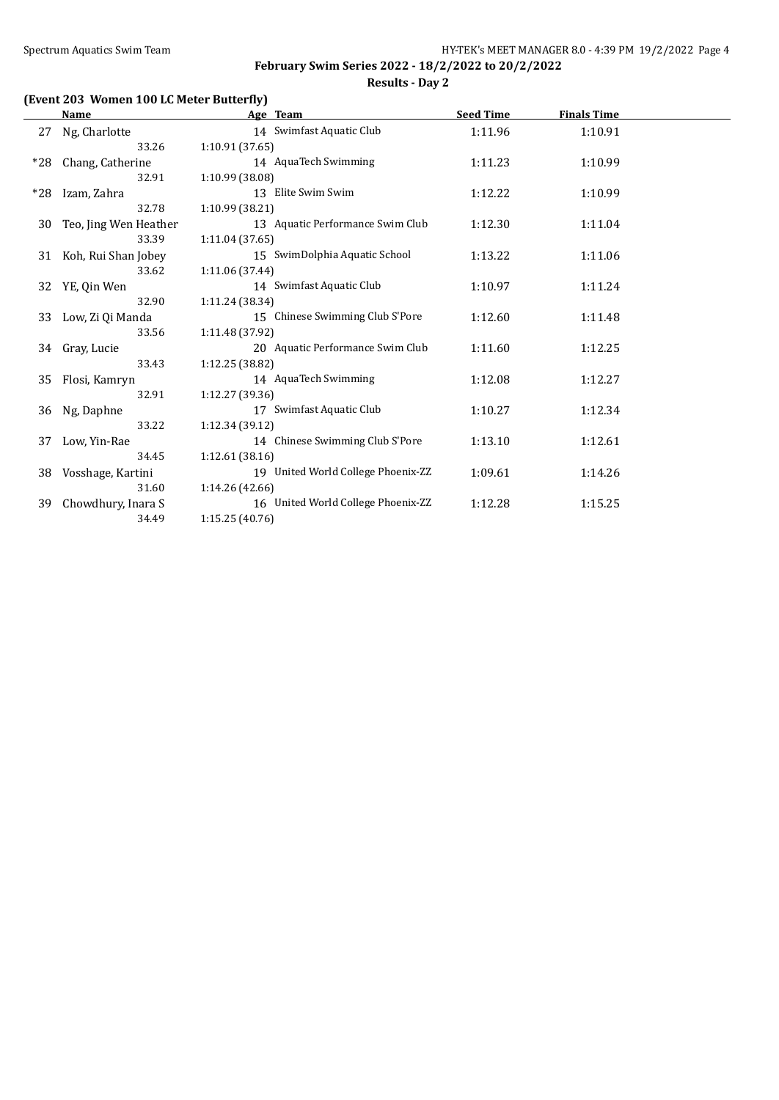**February Swim Series 2022 - 18/2/2022 to 20/2/2022 Results - Day 2**

# **(Event 203 Women 100 LC Meter Butterfly)**

|       | <b>Name</b>            |                 | Age Team                           | <b>Seed Time</b> | <b>Finals Time</b> |  |
|-------|------------------------|-----------------|------------------------------------|------------------|--------------------|--|
| 27    | Ng, Charlotte          |                 | 14 Swimfast Aquatic Club           | 1:11.96          | 1:10.91            |  |
|       | 33.26                  | 1:10.91(37.65)  |                                    |                  |                    |  |
| $*28$ | Chang, Catherine       |                 | 14 AquaTech Swimming               | 1:11.23          | 1:10.99            |  |
|       | 32.91                  | 1:10.99 (38.08) |                                    |                  |                    |  |
| $*28$ | Izam, Zahra            |                 | 13 Elite Swim Swim                 | 1:12.22          | 1:10.99            |  |
|       | 32.78                  | 1:10.99 (38.21) |                                    |                  |                    |  |
| 30    | Teo, Jing Wen Heather  |                 | 13 Aquatic Performance Swim Club   | 1:12.30          | 1:11.04            |  |
|       | 33.39                  | 1:11.04(37.65)  |                                    |                  |                    |  |
|       | 31 Koh, Rui Shan Jobey |                 | 15 SwimDolphia Aquatic School      | 1:13.22          | 1:11.06            |  |
|       | 33.62                  | 1:11.06 (37.44) |                                    |                  |                    |  |
| 32    | YE, Qin Wen            |                 | 14 Swimfast Aquatic Club           | 1:10.97          | 1:11.24            |  |
|       | 32.90                  | 1:11.24(38.34)  |                                    |                  |                    |  |
| 33    | Low, Zi Qi Manda       |                 | 15 Chinese Swimming Club S'Pore    | 1:12.60          | 1:11.48            |  |
|       | 33.56                  | 1:11.48 (37.92) |                                    |                  |                    |  |
| 34    | Gray, Lucie            |                 | 20 Aquatic Performance Swim Club   | 1:11.60          | 1:12.25            |  |
|       | 33.43                  | 1:12.25 (38.82) |                                    |                  |                    |  |
| 35    | Flosi, Kamryn          |                 | 14 AquaTech Swimming               | 1:12.08          | 1:12.27            |  |
|       | 32.91                  | 1:12.27 (39.36) |                                    |                  |                    |  |
| 36    | Ng, Daphne             |                 | 17 Swimfast Aquatic Club           | 1:10.27          | 1:12.34            |  |
|       | 33.22                  | 1:12.34(39.12)  |                                    |                  |                    |  |
| 37    | Low, Yin-Rae           |                 | 14 Chinese Swimming Club S'Pore    | 1:13.10          | 1:12.61            |  |
|       | 34.45                  | 1:12.61(38.16)  |                                    |                  |                    |  |
| 38    | Vosshage, Kartini      |                 | 19 United World College Phoenix-ZZ | 1:09.61          | 1:14.26            |  |
|       | 31.60                  | 1:14.26 (42.66) |                                    |                  |                    |  |
| 39    | Chowdhury, Inara S     |                 | 16 United World College Phoenix-ZZ | 1:12.28          | 1:15.25            |  |
|       | 34.49                  | 1:15.25(40.76)  |                                    |                  |                    |  |
|       |                        |                 |                                    |                  |                    |  |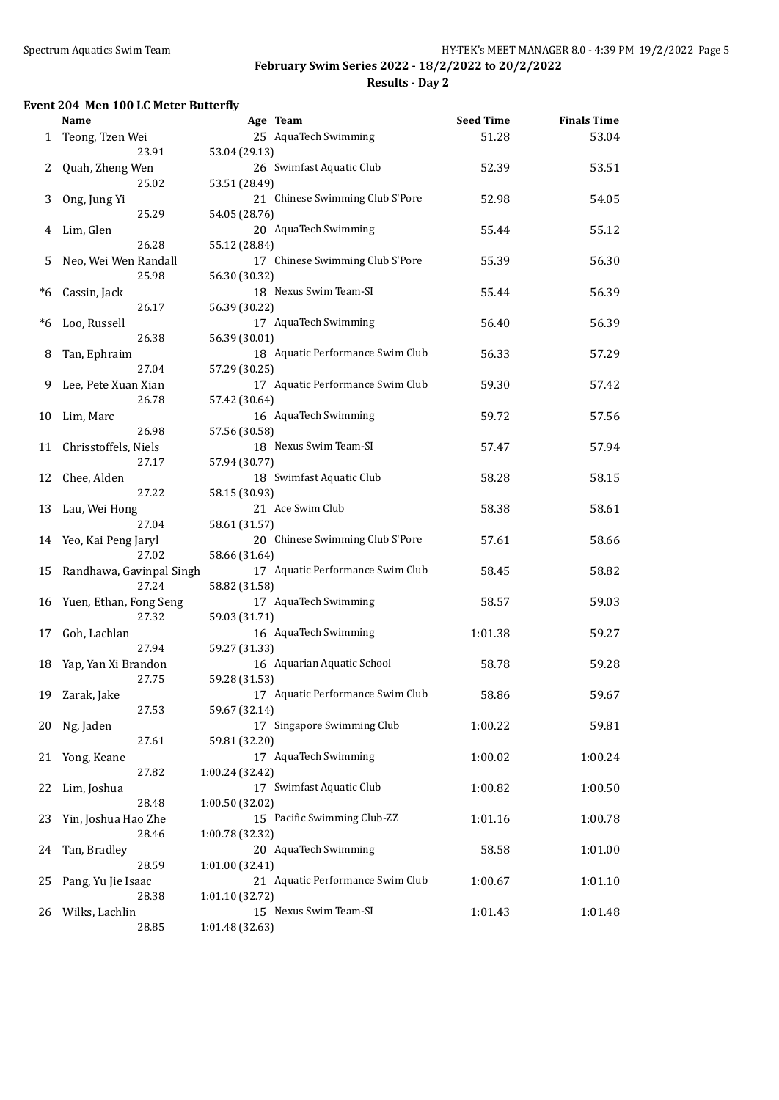$\overline{a}$ 

### **February Swim Series 2022 - 18/2/2022 to 20/2/2022 Results - Day 2**

### **Event 204 Men 100 LC Meter Butterfly**

|    | <b>Name</b>               | Age Team                               | <b>Seed Time</b> | <b>Finals Time</b> |  |
|----|---------------------------|----------------------------------------|------------------|--------------------|--|
|    | 1 Teong, Tzen Wei         | 25 AquaTech Swimming                   | 51.28            | 53.04              |  |
|    | 23.91                     | 53.04 (29.13)                          |                  |                    |  |
| 2  | Quah, Zheng Wen           | 26 Swimfast Aquatic Club               | 52.39            | 53.51              |  |
|    | 25.02                     | 53.51 (28.49)                          |                  |                    |  |
| 3  | Ong, Jung Yi              | 21 Chinese Swimming Club S'Pore        | 52.98            | 54.05              |  |
|    | 25.29                     | 54.05 (28.76)                          |                  |                    |  |
| 4  | Lim, Glen                 | 20 AquaTech Swimming                   | 55.44            | 55.12              |  |
|    | 26.28                     | 55.12 (28.84)                          |                  |                    |  |
| 5  | Neo, Wei Wen Randall      | 17 Chinese Swimming Club S'Pore        | 55.39            | 56.30              |  |
|    | 25.98                     |                                        |                  |                    |  |
|    |                           | 56.30 (30.32)<br>18 Nexus Swim Team-SI |                  |                    |  |
| *6 | Cassin, Jack              |                                        | 55.44            | 56.39              |  |
|    | 26.17                     | 56.39 (30.22)                          |                  |                    |  |
| *6 | Loo, Russell              | 17 AquaTech Swimming                   | 56.40            | 56.39              |  |
|    | 26.38                     | 56.39 (30.01)                          |                  |                    |  |
| 8  | Tan, Ephraim              | 18 Aquatic Performance Swim Club       | 56.33            | 57.29              |  |
|    | 27.04                     | 57.29 (30.25)                          |                  |                    |  |
| 9. | Lee, Pete Xuan Xian       | 17 Aquatic Performance Swim Club       | 59.30            | 57.42              |  |
|    | 26.78                     | 57.42 (30.64)                          |                  |                    |  |
| 10 | Lim, Marc                 | 16 AquaTech Swimming                   | 59.72            | 57.56              |  |
|    | 26.98                     | 57.56 (30.58)                          |                  |                    |  |
| 11 | Chrisstoffels, Niels      | 18 Nexus Swim Team-SI                  | 57.47            | 57.94              |  |
|    | 27.17                     | 57.94 (30.77)                          |                  |                    |  |
| 12 | Chee, Alden               | 18 Swimfast Aquatic Club               | 58.28            | 58.15              |  |
|    | 27.22                     | 58.15 (30.93)                          |                  |                    |  |
| 13 | Lau, Wei Hong             | 21 Ace Swim Club                       | 58.38            | 58.61              |  |
|    | 27.04                     | 58.61 (31.57)                          |                  |                    |  |
|    | 14 Yeo, Kai Peng Jaryl    | 20 Chinese Swimming Club S'Pore        | 57.61            | 58.66              |  |
|    | 27.02                     | 58.66 (31.64)                          |                  |                    |  |
| 15 | Randhawa, Gavinpal Singh  | 17 Aquatic Performance Swim Club       | 58.45            | 58.82              |  |
|    | 27.24                     | 58.82 (31.58)                          |                  |                    |  |
|    | 16 Yuen, Ethan, Fong Seng | 17 AquaTech Swimming                   | 58.57            | 59.03              |  |
|    | 27.32                     | 59.03 (31.71)                          |                  |                    |  |
| 17 | Goh, Lachlan              | 16 AquaTech Swimming                   | 1:01.38          | 59.27              |  |
|    | 27.94                     | 59.27 (31.33)                          |                  |                    |  |
| 18 | Yap, Yan Xi Brandon       | 16 Aquarian Aquatic School             | 58.78            | 59.28              |  |
|    | 27.75                     | 59.28 (31.53)                          |                  |                    |  |
|    |                           | 17 Aquatic Performance Swim Club       | 58.86            | 59.67              |  |
|    | 19 Zarak, Jake<br>27.53   | 59.67 (32.14)                          |                  |                    |  |
|    |                           | 17 Singapore Swimming Club             |                  | 59.81              |  |
| 20 | Ng, Jaden<br>27.61        | 59.81 (32.20)                          | 1:00.22          |                    |  |
|    |                           |                                        |                  |                    |  |
| 21 | Yong, Keane               | 17 AquaTech Swimming                   | 1:00.02          | 1:00.24            |  |
|    | 27.82                     | 1:00.24 (32.42)                        |                  |                    |  |
| 22 | Lim, Joshua               | 17 Swimfast Aquatic Club               | 1:00.82          | 1:00.50            |  |
|    | 28.48                     | 1:00.50 (32.02)                        |                  |                    |  |
| 23 | Yin, Joshua Hao Zhe       | 15 Pacific Swimming Club-ZZ            | 1:01.16          | 1:00.78            |  |
|    | 28.46                     | 1:00.78 (32.32)                        |                  |                    |  |
| 24 | Tan, Bradley              | 20 AquaTech Swimming                   | 58.58            | 1:01.00            |  |
|    | 28.59                     | 1:01.00(32.41)                         |                  |                    |  |
| 25 | Pang, Yu Jie Isaac        | 21 Aquatic Performance Swim Club       | 1:00.67          | 1:01.10            |  |
|    | 28.38                     | 1:01.10 (32.72)                        |                  |                    |  |
| 26 | Wilks, Lachlin            | 15 Nexus Swim Team-SI                  | 1:01.43          | 1:01.48            |  |
|    | 28.85                     | 1:01.48 (32.63)                        |                  |                    |  |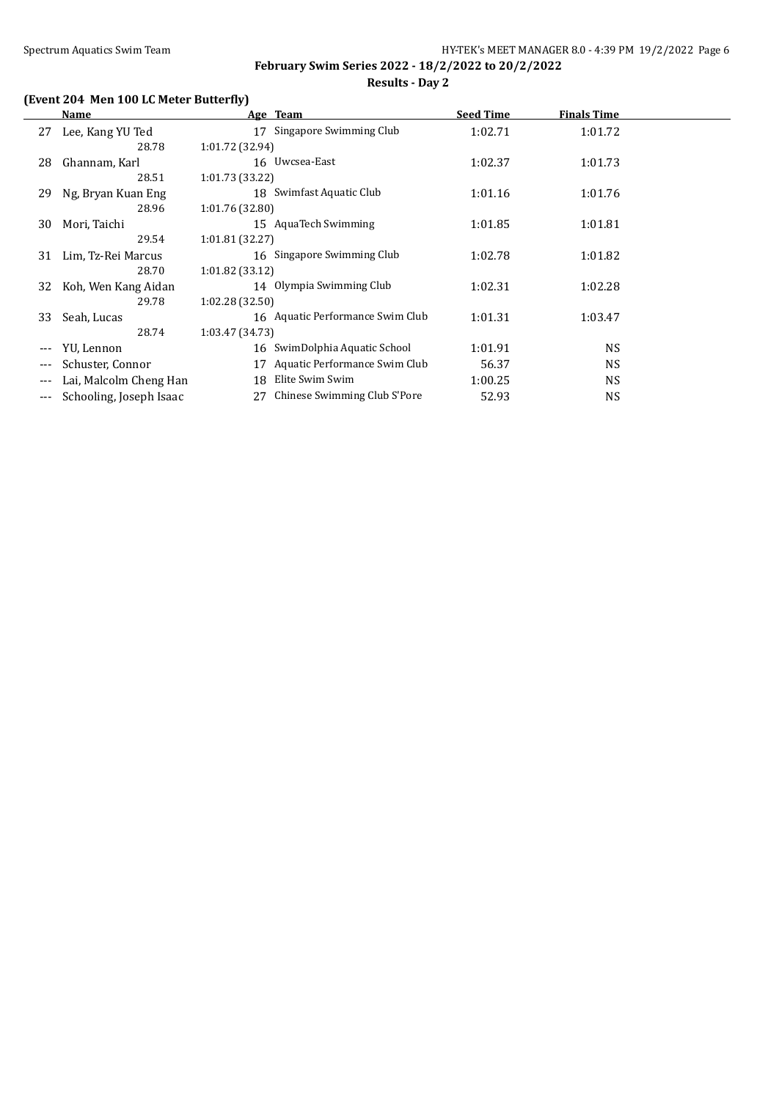### **February Swim Series 2022 - 18/2/2022 to 20/2/2022 Results - Day 2**

# **(Event 204 Men 100 LC Meter Butterfly)**

|                     | Name                    | Age Team                            | <b>Seed Time</b> | <b>Finals Time</b> |  |
|---------------------|-------------------------|-------------------------------------|------------------|--------------------|--|
| 27                  | Lee, Kang YU Ted        | 17 Singapore Swimming Club          | 1:02.71          | 1:01.72            |  |
|                     | 28.78                   | 1:01.72 (32.94)                     |                  |                    |  |
| 28                  | Ghannam, Karl           | 16 Uwcsea-East                      | 1:02.37          | 1:01.73            |  |
|                     | 28.51                   | 1:01.73(33.22)                      |                  |                    |  |
| 29                  | Ng, Bryan Kuan Eng      | 18 Swimfast Aquatic Club            | 1:01.16          | 1:01.76            |  |
|                     | 28.96                   | 1:01.76(32.80)                      |                  |                    |  |
| 30                  | Mori, Taichi            | 15 AquaTech Swimming                | 1:01.85          | 1:01.81            |  |
|                     | 29.54                   | 1:01.81(32.27)                      |                  |                    |  |
| 31                  | Lim, Tz-Rei Marcus      | 16 Singapore Swimming Club          | 1:02.78          | 1:01.82            |  |
|                     | 28.70                   | 1:01.82(33.12)                      |                  |                    |  |
| 32                  | Koh, Wen Kang Aidan     | 14 Olympia Swimming Club            | 1:02.31          | 1:02.28            |  |
|                     | 29.78                   | 1:02.28(32.50)                      |                  |                    |  |
| 33                  | Seah, Lucas             | 16 Aquatic Performance Swim Club    | 1:01.31          | 1:03.47            |  |
|                     | 28.74                   | 1:03.47(34.73)                      |                  |                    |  |
| $\qquad \qquad - -$ | YU, Lennon              | SwimDolphia Aquatic School<br>16    | 1:01.91          | NS.                |  |
|                     | Schuster, Connor        | Aquatic Performance Swim Club<br>17 | 56.37            | NS.                |  |
| $---$               | Lai, Malcolm Cheng Han  | Elite Swim Swim<br>18               | 1:00.25          | NS.                |  |
| ---                 | Schooling, Joseph Isaac | Chinese Swimming Club S'Pore<br>27  | 52.93            | <b>NS</b>          |  |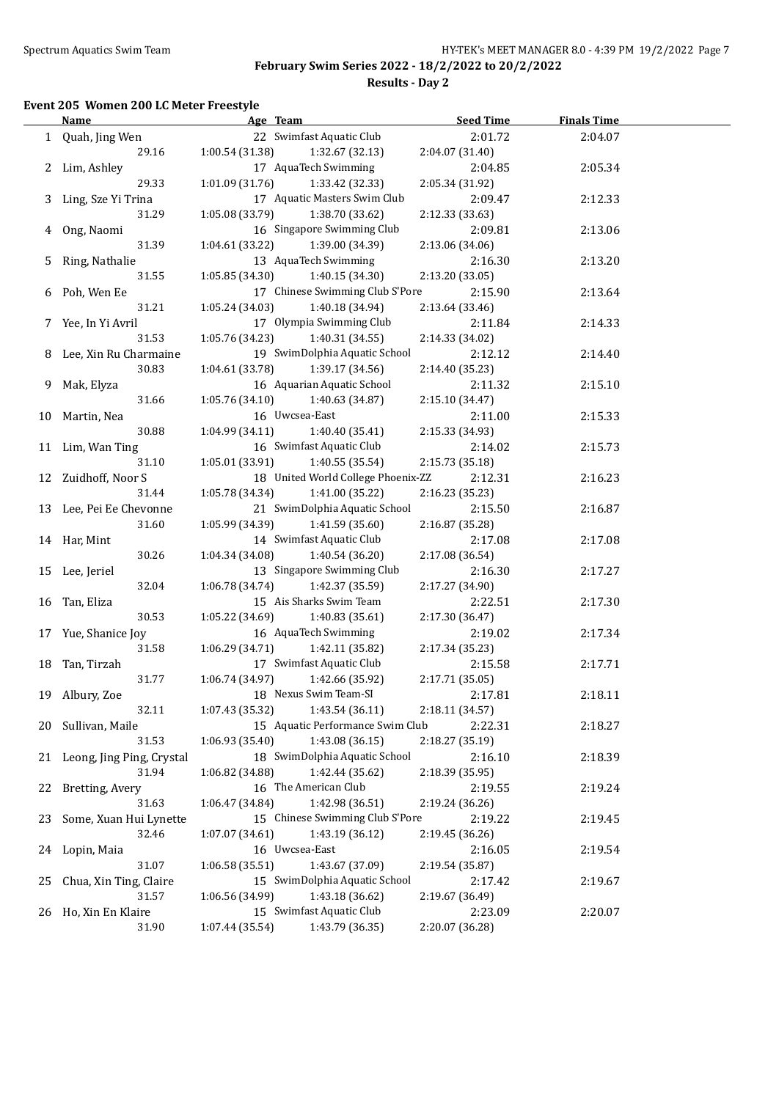**Results - Day 2**

### **Event 205 Women 200 LC Meter Freestyle**

|    | <b>Name</b>                  | Age Team                           | <b>Seed Time</b> | <b>Finals Time</b> |  |
|----|------------------------------|------------------------------------|------------------|--------------------|--|
|    | 1 Quah, Jing Wen             | 22 Swimfast Aquatic Club           | 2:01.72          | 2:04.07            |  |
|    | 29.16                        | 1:00.54 (31.38)<br>1:32.67 (32.13) | 2:04.07 (31.40)  |                    |  |
|    | 2 Lim, Ashley                | 17 AquaTech Swimming               | 2:04.85          | 2:05.34            |  |
|    | 29.33                        | 1:01.09 (31.76)<br>1:33.42 (32.33) | 2:05.34 (31.92)  |                    |  |
|    | 3 Ling, Sze Yi Trina         | 17 Aquatic Masters Swim Club       | 2:09.47          | 2:12.33            |  |
|    | 31.29                        | 1:05.08 (33.79)<br>1:38.70 (33.62) | 2:12.33 (33.63)  |                    |  |
|    | 4 Ong, Naomi                 | 16 Singapore Swimming Club         | 2:09.81          | 2:13.06            |  |
|    | 31.39                        | 1:04.61 (33.22)<br>1:39.00 (34.39) | 2:13.06 (34.06)  |                    |  |
| 5  | Ring, Nathalie               | 13 AquaTech Swimming               | 2:16.30          | 2:13.20            |  |
|    | 31.55                        | 1:05.85 (34.30)                    | 2:13.20 (33.05)  |                    |  |
|    |                              | 1:40.15 (34.30)                    |                  |                    |  |
|    | 6 Poh, Wen Ee                | 17 Chinese Swimming Club S'Pore    | 2:15.90          | 2:13.64            |  |
|    | 31.21                        | 1:05.24 (34.03)<br>1:40.18 (34.94) | 2:13.64 (33.46)  |                    |  |
|    | 7 Yee, In Yi Avril           | 17 Olympia Swimming Club           | 2:11.84          | 2:14.33            |  |
|    | 31.53                        | 1:05.76 (34.23)<br>1:40.31 (34.55) | 2:14.33 (34.02)  |                    |  |
|    | 8 Lee, Xin Ru Charmaine      | 19 SwimDolphia Aquatic School      | 2:12.12          | 2:14.40            |  |
|    | 30.83                        | 1:04.61(33.78)<br>1:39.17 (34.56)  | 2:14.40 (35.23)  |                    |  |
| 9. | Mak, Elyza                   | 16 Aquarian Aquatic School         | 2:11.32          | 2:15.10            |  |
|    | 31.66                        | 1:05.76(34.10)<br>1:40.63 (34.87)  | 2:15.10 (34.47)  |                    |  |
|    | 10 Martin, Nea               | 16 Uwcsea-East                     | 2:11.00          | 2:15.33            |  |
|    | 30.88                        | 1:04.99(34.11)<br>1:40.40 (35.41)  | 2:15.33 (34.93)  |                    |  |
|    | 11 Lim, Wan Ting             | 16 Swimfast Aquatic Club           | 2:14.02          | 2:15.73            |  |
|    | 31.10                        | 1:05.01(33.91)<br>1:40.55 (35.54)  | 2:15.73 (35.18)  |                    |  |
|    | 12 Zuidhoff, Noor S          | 18 United World College Phoenix-ZZ | 2:12.31          | 2:16.23            |  |
|    | 31.44                        | 1:05.78(34.34)<br>1:41.00 (35.22)  | 2:16.23 (35.23)  |                    |  |
|    | 13 Lee, Pei Ee Chevonne      | 21 SwimDolphia Aquatic School      | 2:15.50          | 2:16.87            |  |
|    | 31.60                        | 1:41.59 (35.60)<br>1:05.99 (34.39) | 2:16.87 (35.28)  |                    |  |
|    | 14 Har, Mint                 | 14 Swimfast Aquatic Club           | 2:17.08          | 2:17.08            |  |
|    | 30.26                        | 1:04.34 (34.08)<br>1:40.54 (36.20) | 2:17.08 (36.54)  |                    |  |
|    | 15 Lee, Jeriel               | 13 Singapore Swimming Club         | 2:16.30          | 2:17.27            |  |
|    | 32.04                        | 1:06.78 (34.74)<br>1:42.37 (35.59) | 2:17.27 (34.90)  |                    |  |
| 16 | Tan, Eliza                   | 15 Ais Sharks Swim Team            | 2:22.51          | 2:17.30            |  |
|    | 30.53                        | 1:05.22 (34.69)<br>1:40.83 (35.61) | 2:17.30 (36.47)  |                    |  |
|    | 17 Yue, Shanice Joy          | 16 AquaTech Swimming               | 2:19.02          | 2:17.34            |  |
|    | 31.58                        | 1:42.11 (35.82)<br>1:06.29 (34.71) | 2:17.34 (35.23)  |                    |  |
|    |                              | 17 Swimfast Aquatic Club           |                  |                    |  |
|    | 18 Tan, Tirzah<br>31.77      | 1:42.66 (35.92)<br>1:06.74 (34.97) | 2:15.58          | 2:17.71            |  |
|    |                              | 18 Nexus Swim Team-SI              | 2:17.71 (35.05)  |                    |  |
|    | 19 Albury, Zoe               |                                    | 2:17.81          | 2:18.11            |  |
|    | 32.11                        | 1:43.54 (36.11)<br>1:07.43 (35.32) | 2:18.11 (34.57)  |                    |  |
|    | 20 Sullivan, Maile           | 15 Aquatic Performance Swim Club   | 2:22.31          | 2:18.27            |  |
|    | 31.53                        | 1:06.93 (35.40)<br>1:43.08 (36.15) | 2:18.27 (35.19)  |                    |  |
|    | 21 Leong, Jing Ping, Crystal | 18 SwimDolphia Aquatic School      | 2:16.10          | 2:18.39            |  |
|    | 31.94                        | 1:42.44 (35.62)<br>1:06.82 (34.88) | 2:18.39 (35.95)  |                    |  |
| 22 | Bretting, Avery              | 16 The American Club               | 2:19.55          | 2:19.24            |  |
|    | 31.63                        | 1:06.47 (34.84)<br>1:42.98 (36.51) | 2:19.24 (36.26)  |                    |  |
| 23 | Some, Xuan Hui Lynette       | 15 Chinese Swimming Club S'Pore    | 2:19.22          | 2:19.45            |  |
|    | 32.46                        | 1:43.19 (36.12)<br>1:07.07 (34.61) | 2:19.45 (36.26)  |                    |  |
| 24 | Lopin, Maia                  | 16 Uwcsea-East                     | 2:16.05          | 2:19.54            |  |
|    | 31.07                        | 1:43.67 (37.09)<br>1:06.58 (35.51) | 2:19.54 (35.87)  |                    |  |
| 25 | Chua, Xin Ting, Claire       | 15 SwimDolphia Aquatic School      | 2:17.42          | 2:19.67            |  |
|    | 31.57                        | 1:43.18 (36.62)<br>1:06.56 (34.99) | 2:19.67 (36.49)  |                    |  |
| 26 | Ho, Xin En Klaire            | 15 Swimfast Aquatic Club           | 2:23.09          | 2:20.07            |  |
|    | 31.90                        | 1:07.44 (35.54)<br>1:43.79 (36.35) | 2:20.07 (36.28)  |                    |  |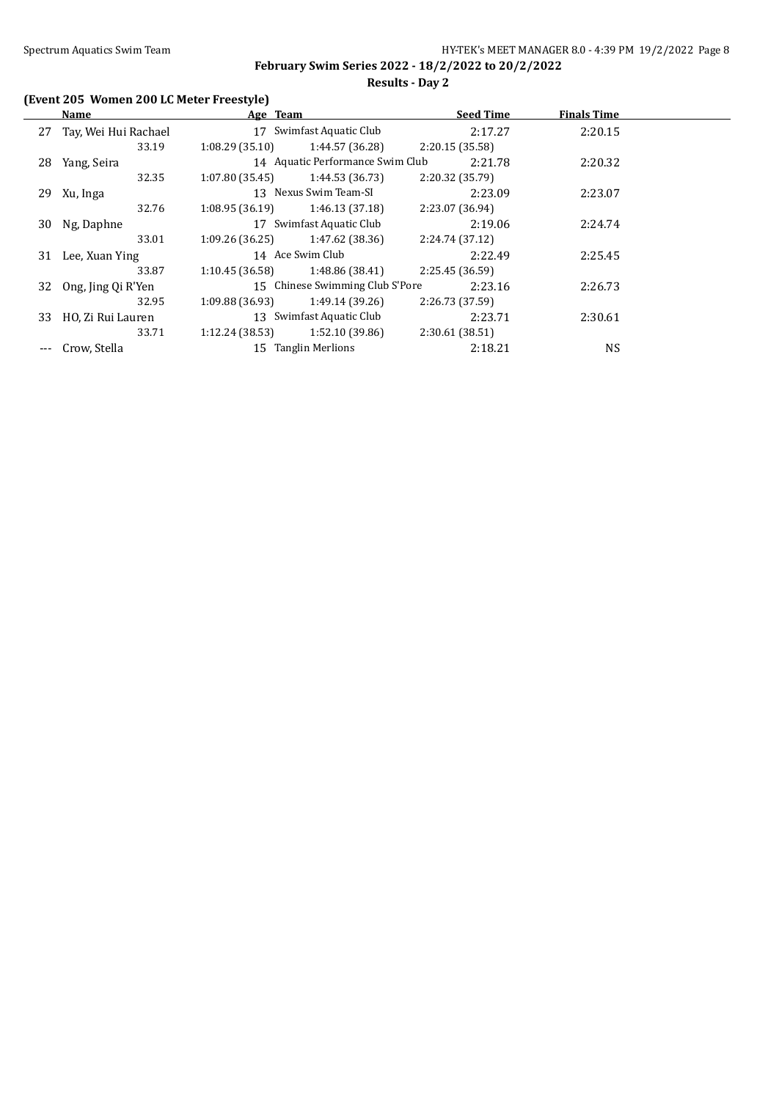# **Results - Day 2**

# **(Event 205 Women 200 LC Meter Freestyle)**

|    | Name                    | Age Team                 |                                  | <b>Seed Time</b> | <b>Finals Time</b> |  |
|----|-------------------------|--------------------------|----------------------------------|------------------|--------------------|--|
|    | 27 Tay, Wei Hui Rachael | 17                       | Swimfast Aquatic Club            | 2:17.27          | 2:20.15            |  |
|    | 33.19                   | 1:08.29(35.10)           | 1:44.57 (36.28)                  | 2:20.15(35.58)   |                    |  |
| 28 | Yang, Seira             |                          | 14 Aquatic Performance Swim Club | 2:21.78          | 2:20.32            |  |
|    | 32.35                   | 1:07.80 (35.45)          | 1:44.53 (36.73)                  | 2:20.32 (35.79)  |                    |  |
|    | 29 Xu, Inga             |                          | 13 Nexus Swim Team-SI            | 2:23.09          | 2:23.07            |  |
|    | 32.76                   | 1:08.95(36.19)           | 1:46.13 (37.18)                  | 2:23.07 (36.94)  |                    |  |
| 30 | Ng, Daphne              | 17 Swimfast Aquatic Club |                                  | 2:19.06          | 2:24.74            |  |
|    | 33.01                   | 1:09.26(36.25)           | 1:47.62 (38.36)                  | 2:24.74 (37.12)  |                    |  |
| 31 | Lee, Xuan Ying          |                          | 14 Ace Swim Club                 | 2:22.49          | 2:25.45            |  |
|    | 33.87                   | 1:10.45 (36.58)          | 1:48.86 (38.41)                  | 2:25.45 (36.59)  |                    |  |
| 32 | Ong, Jing Qi R'Yen      |                          | 15 Chinese Swimming Club S'Pore  | 2:23.16          | 2:26.73            |  |
|    | 32.95                   | 1:09.88 (36.93)          | 1:49.14 (39.26)                  | 2:26.73 (37.59)  |                    |  |
| 33 | HO, Zi Rui Lauren       |                          | 13 Swimfast Aquatic Club         | 2:23.71          | 2:30.61            |  |
|    | 33.71                   | 1:12.24 (38.53)          | 1:52.10 (39.86)                  | 2:30.61(38.51)   |                    |  |
|    | Crow, Stella            |                          | 15 Tanglin Merlions              | 2:18.21          | <b>NS</b>          |  |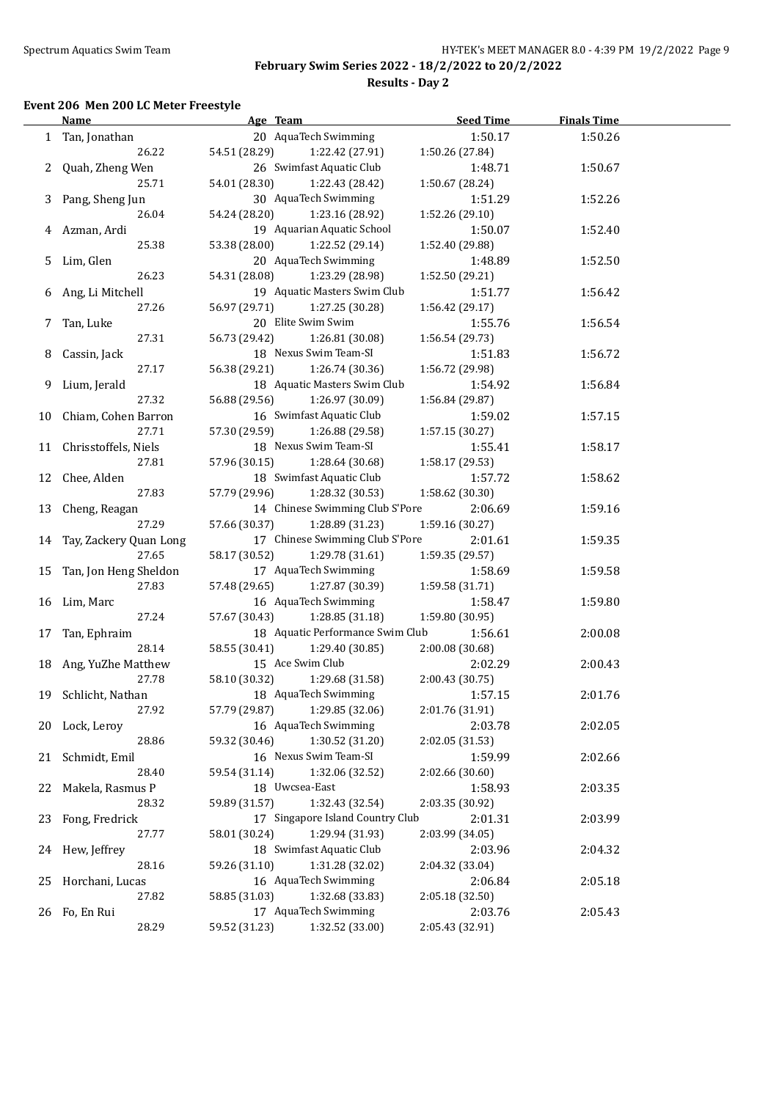# **Results - Day 2**

### **Event 206 Men 200 LC Meter Freestyle**

|    | <u>Name</u>               | Age Team                         | <b>Seed Time</b> | <b>Finals Time</b> |  |
|----|---------------------------|----------------------------------|------------------|--------------------|--|
|    | 1 Tan, Jonathan           | 20 AquaTech Swimming             | 1:50.17          | 1:50.26            |  |
|    | 26.22                     | 54.51 (28.29)<br>1:22.42 (27.91) | 1:50.26 (27.84)  |                    |  |
|    | 2 Quah, Zheng Wen         | 26 Swimfast Aquatic Club         | 1:48.71          | 1:50.67            |  |
|    | 25.71                     | 54.01 (28.30)<br>1:22.43 (28.42) | 1:50.67 (28.24)  |                    |  |
|    | 3 Pang, Sheng Jun         | 30 AquaTech Swimming             | 1:51.29          | 1:52.26            |  |
|    | 26.04                     | 54.24 (28.20)<br>1:23.16 (28.92) | 1:52.26 (29.10)  |                    |  |
|    | 4 Azman, Ardi             | 19 Aquarian Aquatic School       | 1:50.07          | 1:52.40            |  |
|    | 25.38                     | 53.38 (28.00)<br>1:22.52 (29.14) | 1:52.40 (29.88)  |                    |  |
|    | 5 Lim, Glen               | 20 AquaTech Swimming             | 1:48.89          | 1:52.50            |  |
|    | 26.23                     | 54.31 (28.08)<br>1:23.29 (28.98) | 1:52.50 (29.21)  |                    |  |
|    | 6 Ang, Li Mitchell        | 19 Aquatic Masters Swim Club     | 1:51.77          | 1:56.42            |  |
|    | 27.26                     | 56.97 (29.71)<br>1:27.25 (30.28) | 1:56.42 (29.17)  |                    |  |
|    | 7 Tan, Luke               | 20 Elite Swim Swim               | 1:55.76          | 1:56.54            |  |
|    | 27.31                     | 56.73 (29.42)<br>1:26.81 (30.08) | 1:56.54 (29.73)  |                    |  |
| 8  | Cassin, Jack              | 18 Nexus Swim Team-SI            | 1:51.83          | 1:56.72            |  |
|    | 27.17                     | 56.38 (29.21)<br>1:26.74 (30.36) | 1:56.72 (29.98)  |                    |  |
| 9  | Lium, Jerald              | 18 Aquatic Masters Swim Club     | 1:54.92          | 1:56.84            |  |
|    | 27.32                     | 56.88 (29.56)<br>1:26.97 (30.09) | 1:56.84 (29.87)  |                    |  |
|    | 10 Chiam, Cohen Barron    | 16 Swimfast Aquatic Club         | 1:59.02          | 1:57.15            |  |
|    | 27.71                     | 57.30 (29.59)<br>1:26.88 (29.58) | 1:57.15 (30.27)  |                    |  |
|    | 11 Chrisstoffels, Niels   | 18 Nexus Swim Team-SI            | 1:55.41          | 1:58.17            |  |
|    | 27.81                     | 57.96 (30.15)<br>1:28.64 (30.68) | 1:58.17 (29.53)  |                    |  |
|    | 12 Chee, Alden            | 18 Swimfast Aquatic Club         | 1:57.72          | 1:58.62            |  |
|    | 27.83                     | 57.79 (29.96)<br>1:28.32 (30.53) | 1:58.62 (30.30)  |                    |  |
|    | 13 Cheng, Reagan          | 14 Chinese Swimming Club S'Pore  | 2:06.69          | 1:59.16            |  |
|    | 27.29                     | 57.66 (30.37)<br>1:28.89 (31.23) | 1:59.16 (30.27)  |                    |  |
|    | 14 Tay, Zackery Quan Long | 17 Chinese Swimming Club S'Pore  | 2:01.61          | 1:59.35            |  |
|    | 27.65                     | 58.17 (30.52)<br>1:29.78 (31.61) | 1:59.35 (29.57)  |                    |  |
|    | 15 Tan, Jon Heng Sheldon  | 17 AquaTech Swimming             | 1:58.69          | 1:59.58            |  |
|    | 27.83                     | 57.48 (29.65)<br>1:27.87 (30.39) | 1:59.58 (31.71)  |                    |  |
|    | 16 Lim, Marc              | 16 AquaTech Swimming             | 1:58.47          | 1:59.80            |  |
|    | 27.24                     | 57.67 (30.43)<br>1:28.85 (31.18) | 1:59.80 (30.95)  |                    |  |
| 17 | Tan, Ephraim              | 18 Aquatic Performance Swim Club | 1:56.61          | 2:00.08            |  |
|    | 28.14                     | 58.55 (30.41)<br>1:29.40 (30.85) | 2:00.08 (30.68)  |                    |  |
|    | 18 Ang, YuZhe Matthew     | 15 Ace Swim Club                 | 2:02.29          | 2:00.43            |  |
|    | 27.78                     | 58.10 (30.32)<br>1:29.68 (31.58) | 2:00.43 (30.75)  |                    |  |
|    | 19 Schlicht, Nathan       | 18 AquaTech Swimming             | 1:57.15          | 2:01.76            |  |
|    | 27.92                     | 1:29.85 (32.06)<br>57.79 (29.87) | 2:01.76 (31.91)  |                    |  |
|    | 20 Lock, Leroy            | 16 AquaTech Swimming             | 2:03.78          | 2:02.05            |  |
|    | 28.86                     | 59.32 (30.46)<br>1:30.52 (31.20) | 2:02.05 (31.53)  |                    |  |
| 21 | Schmidt, Emil             | 16 Nexus Swim Team-SI            | 1:59.99          | 2:02.66            |  |
|    | 28.40                     | 1:32.06 (32.52)<br>59.54 (31.14) | 2:02.66 (30.60)  |                    |  |
| 22 | Makela, Rasmus P          | 18 Uwcsea-East                   | 1:58.93          | 2:03.35            |  |
|    | 28.32                     | 59.89 (31.57)<br>1:32.43 (32.54) | 2:03.35 (30.92)  |                    |  |
| 23 | Fong, Fredrick            | 17 Singapore Island Country Club | 2:01.31          | 2:03.99            |  |
|    | 27.77                     | 1:29.94 (31.93)<br>58.01 (30.24) | 2:03.99 (34.05)  |                    |  |
| 24 | Hew, Jeffrey              | 18 Swimfast Aquatic Club         | 2:03.96          | 2:04.32            |  |
|    | 28.16                     | 1:31.28 (32.02)<br>59.26 (31.10) | 2:04.32 (33.04)  |                    |  |
| 25 | Horchani, Lucas           | 16 AquaTech Swimming             | 2:06.84          | 2:05.18            |  |
|    | 27.82                     | 58.85 (31.03)<br>1:32.68 (33.83) | 2:05.18 (32.50)  |                    |  |
| 26 | Fo, En Rui                | 17 AquaTech Swimming             | 2:03.76          | 2:05.43            |  |
|    | 28.29                     | 59.52 (31.23)<br>1:32.52 (33.00) | 2:05.43 (32.91)  |                    |  |
|    |                           |                                  |                  |                    |  |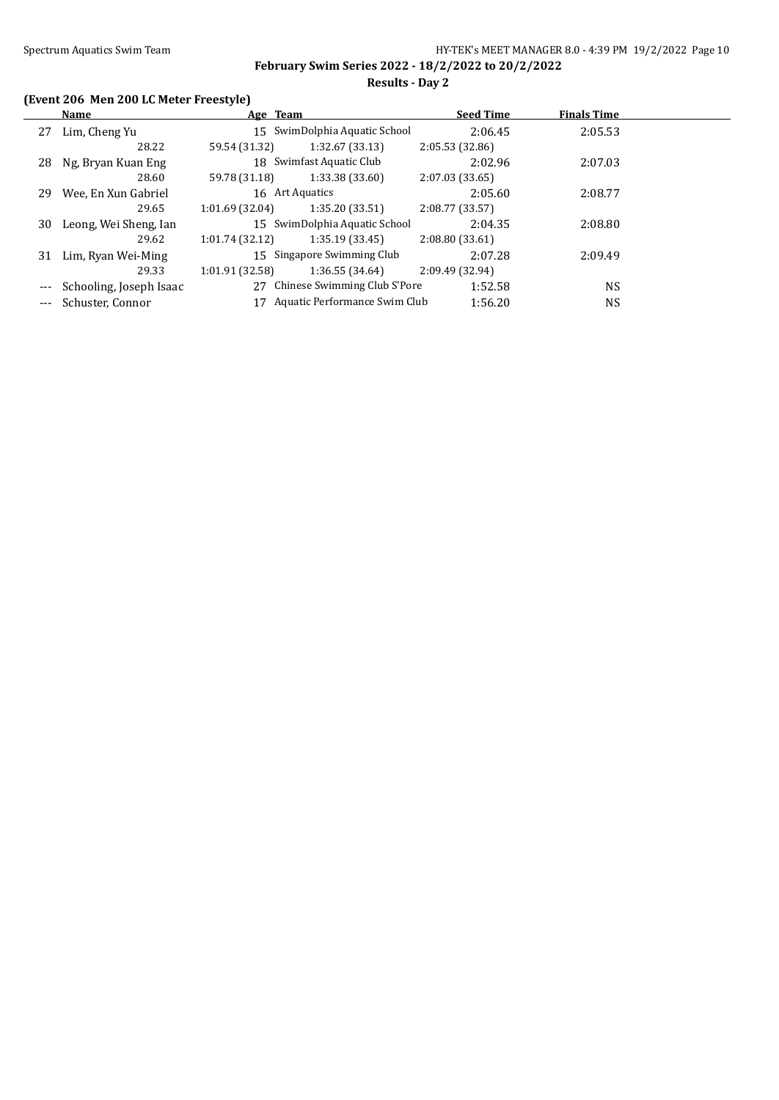**February Swim Series 2022 - 18/2/2022 to 20/2/2022 Results - Day 2**

# **(Event 206 Men 200 LC Meter Freestyle)**

|    | Name                    | Age Team        |                                 | <b>Seed Time</b> | <b>Finals Time</b> |  |
|----|-------------------------|-----------------|---------------------------------|------------------|--------------------|--|
| 27 | Lim, Cheng Yu           |                 | 15 SwimDolphia Aquatic School   | 2:06.45          | 2:05.53            |  |
|    | 28.22                   | 59.54 (31.32)   | 1:32.67(33.13)                  | 2:05.53(32.86)   |                    |  |
| 28 | Ng, Bryan Kuan Eng      |                 | 18 Swimfast Aquatic Club        | 2:02.96          | 2:07.03            |  |
|    | 28.60                   | 59.78 (31.18)   | 1:33.38(33.60)                  | 2:07.03(33.65)   |                    |  |
| 29 | Wee, En Xun Gabriel     |                 | 16 Art Aquatics                 | 2:05.60          | 2:08.77            |  |
|    | 29.65                   | 1:01.69(32.04)  | 1:35.20(33.51)                  | 2:08.77(33.57)   |                    |  |
| 30 | Leong, Wei Sheng, Ian   |                 | 15 SwimDolphia Aquatic School   | 2:04.35          | 2:08.80            |  |
|    | 29.62                   | 1:01.74(32.12)  | 1:35.19(33.45)                  | 2:08.80(33.61)   |                    |  |
| 31 | Lim, Ryan Wei-Ming      |                 | 15 Singapore Swimming Club      | 2:07.28          | 2:09.49            |  |
|    | 29.33                   | 1:01.91 (32.58) | 1:36.55(34.64)                  | 2:09.49 (32.94)  |                    |  |
|    | Schooling, Joseph Isaac |                 | 27 Chinese Swimming Club S'Pore | 1:52.58          | <b>NS</b>          |  |
|    | Schuster, Connor        | 17              | Aquatic Performance Swim Club   | 1:56.20          | <b>NS</b>          |  |
|    |                         |                 |                                 |                  |                    |  |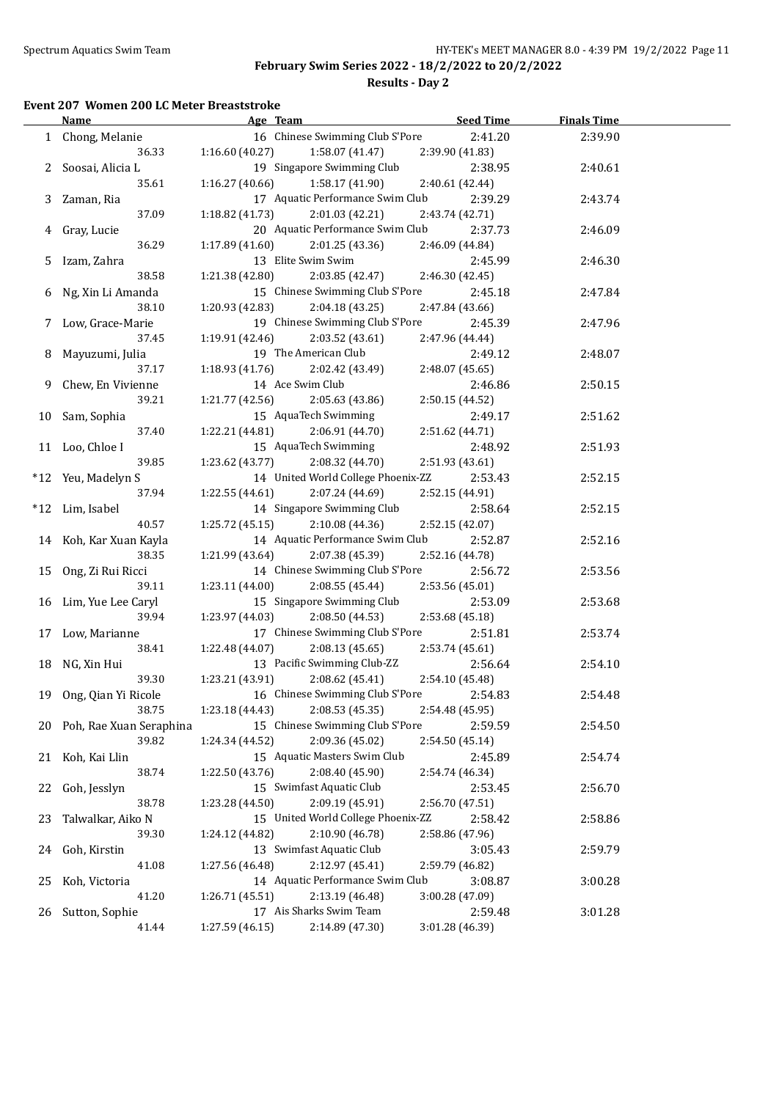# **Results - Day 2**

### **Event 207 Women 200 LC Meter Breaststroke**

|    | <b>Name</b>             | Age Team                           | <b>Seed Time</b> | <b>Finals Time</b> |  |
|----|-------------------------|------------------------------------|------------------|--------------------|--|
|    | 1 Chong, Melanie        | 16 Chinese Swimming Club S'Pore    | 2:41.20          | 2:39.90            |  |
|    | 36.33                   | 1:16.60(40.27)<br>1:58.07 (41.47)  | 2:39.90 (41.83)  |                    |  |
|    | 2 Soosai, Alicia L      | 19 Singapore Swimming Club         | 2:38.95          | 2:40.61            |  |
|    | 35.61                   | 1:16.27 (40.66)<br>1:58.17 (41.90) | 2:40.61 (42.44)  |                    |  |
|    | 3 Zaman, Ria            | 17 Aquatic Performance Swim Club   | 2:39.29          | 2:43.74            |  |
|    | 37.09                   | 1:18.82(41.73)<br>2:01.03 (42.21)  | 2:43.74 (42.71)  |                    |  |
|    | 4 Gray, Lucie           | 20 Aquatic Performance Swim Club   | 2:37.73          | 2:46.09            |  |
|    | 36.29                   | 1:17.89(41.60)<br>2:01.25(43.36)   | 2:46.09 (44.84)  |                    |  |
|    | 5 Izam, Zahra           | 13 Elite Swim Swim                 | 2:45.99          | 2:46.30            |  |
|    | 38.58                   | 1:21.38 (42.80)<br>2:03.85 (42.47) | 2:46.30 (42.45)  |                    |  |
|    | 6 Ng, Xin Li Amanda     | 15 Chinese Swimming Club S'Pore    | 2:45.18          | 2:47.84            |  |
|    | 38.10                   | 1:20.93 (42.83)<br>2:04.18 (43.25) | 2:47.84 (43.66)  |                    |  |
|    | 7 Low, Grace-Marie      | 19 Chinese Swimming Club S'Pore    | 2:45.39          | 2:47.96            |  |
|    | 37.45                   | 1:19.91 (42.46)<br>2:03.52 (43.61) | 2:47.96 (44.44)  |                    |  |
| 8  | Mayuzumi, Julia         | 19 The American Club               | 2:49.12          | 2:48.07            |  |
|    | 37.17                   | 1:18.93(41.76)<br>2:02.42 (43.49)  | 2:48.07 (45.65)  |                    |  |
| 9. | Chew, En Vivienne       | 14 Ace Swim Club                   | 2:46.86          | 2:50.15            |  |
|    | 39.21                   | 2:05.63 (43.86)<br>1:21.77 (42.56) | 2:50.15 (44.52)  |                    |  |
|    | 10 Sam, Sophia          | 15 AquaTech Swimming               | 2:49.17          | 2:51.62            |  |
|    | 37.40                   | 1:22.21(44.81)<br>2:06.91 (44.70)  | 2:51.62 (44.71)  |                    |  |
|    | 11 Loo, Chloe I         | 15 AquaTech Swimming               | 2:48.92          | 2:51.93            |  |
|    | 39.85                   | 1:23.62 (43.77)<br>2:08.32 (44.70) | 2:51.93 (43.61)  |                    |  |
|    | *12 Yeu, Madelyn S      | 14 United World College Phoenix-ZZ | 2:53.43          | 2:52.15            |  |
|    | 37.94                   | 1:22.55(44.61)<br>2:07.24 (44.69)  | 2:52.15 (44.91)  |                    |  |
|    | *12 Lim, Isabel         | 14 Singapore Swimming Club         | 2:58.64          | 2:52.15            |  |
|    | 40.57                   | 2:10.08 (44.36)<br>1:25.72(45.15)  | 2:52.15 (42.07)  |                    |  |
|    | 14 Koh, Kar Xuan Kayla  | 14 Aquatic Performance Swim Club   | 2:52.87          | 2:52.16            |  |
|    | 38.35                   | 1:21.99(43.64)<br>2:07.38 (45.39)  | 2:52.16 (44.78)  |                    |  |
|    | 15 Ong, Zi Rui Ricci    | 14 Chinese Swimming Club S'Pore    | 2:56.72          | 2:53.56            |  |
|    | 39.11                   | 1:23.11(44.00)<br>2:08.55 (45.44)  | 2:53.56 (45.01)  |                    |  |
|    | 16 Lim, Yue Lee Caryl   | 15 Singapore Swimming Club         | 2:53.09          | 2:53.68            |  |
|    | 39.94                   | 1:23.97 (44.03)<br>2:08.50 (44.53) | 2:53.68 (45.18)  |                    |  |
|    | 17 Low, Marianne        | 17 Chinese Swimming Club S'Pore    | 2:51.81          | 2:53.74            |  |
|    | 38.41                   | 1:22.48 (44.07)<br>2:08.13(45.65)  | 2:53.74 (45.61)  |                    |  |
|    | 18 NG, Xin Hui          | 13 Pacific Swimming Club-ZZ        | 2:56.64          | 2:54.10            |  |
|    | 39.30                   | 2:08.62 (45.41)<br>1:23.21 (43.91) | 2:54.10 (45.48)  |                    |  |
|    | 19 Ong, Qian Yi Ricole  | 16 Chinese Swimming Club S'Pore    | 2:54.83          | 2:54.48            |  |
|    | 38.75                   | 2:08.53 (45.35)<br>1:23.18 (44.43) | 2:54.48 (45.95)  |                    |  |
| 20 | Poh, Rae Xuan Seraphina | 15 Chinese Swimming Club S'Pore    | 2:59.59          | 2:54.50            |  |
|    | 39.82                   | 2:09.36 (45.02)<br>1:24.34 (44.52) | 2:54.50 (45.14)  |                    |  |
| 21 | Koh, Kai Llin           | 15 Aquatic Masters Swim Club       | 2:45.89          | 2:54.74            |  |
|    | 38.74                   | 2:08.40 (45.90)<br>1:22.50 (43.76) | 2:54.74 (46.34)  |                    |  |
| 22 | Goh, Jesslyn            | 15 Swimfast Aquatic Club           | 2:53.45          | 2:56.70            |  |
|    | 38.78                   | 2:09.19 (45.91)<br>1:23.28 (44.50) | 2:56.70 (47.51)  |                    |  |
| 23 | Talwalkar, Aiko N       | 15 United World College Phoenix-ZZ | 2:58.42          | 2:58.86            |  |
|    | 39.30                   | 2:10.90 (46.78)<br>1:24.12 (44.82) | 2:58.86 (47.96)  |                    |  |
| 24 | Goh, Kirstin            | 13 Swimfast Aquatic Club           | 3:05.43          | 2:59.79            |  |
|    | 41.08                   | 1:27.56 (46.48)<br>2:12.97 (45.41) | 2:59.79 (46.82)  |                    |  |
| 25 | Koh, Victoria           | 14 Aquatic Performance Swim Club   | 3:08.87          | 3:00.28            |  |
|    | 41.20                   | 2:13.19 (46.48)<br>1:26.71 (45.51) | 3:00.28 (47.09)  |                    |  |
| 26 | Sutton, Sophie          | 17 Ais Sharks Swim Team            | 2:59.48          | 3:01.28            |  |
|    | 41.44                   | 1:27.59 (46.15)<br>2:14.89 (47.30) | 3:01.28 (46.39)  |                    |  |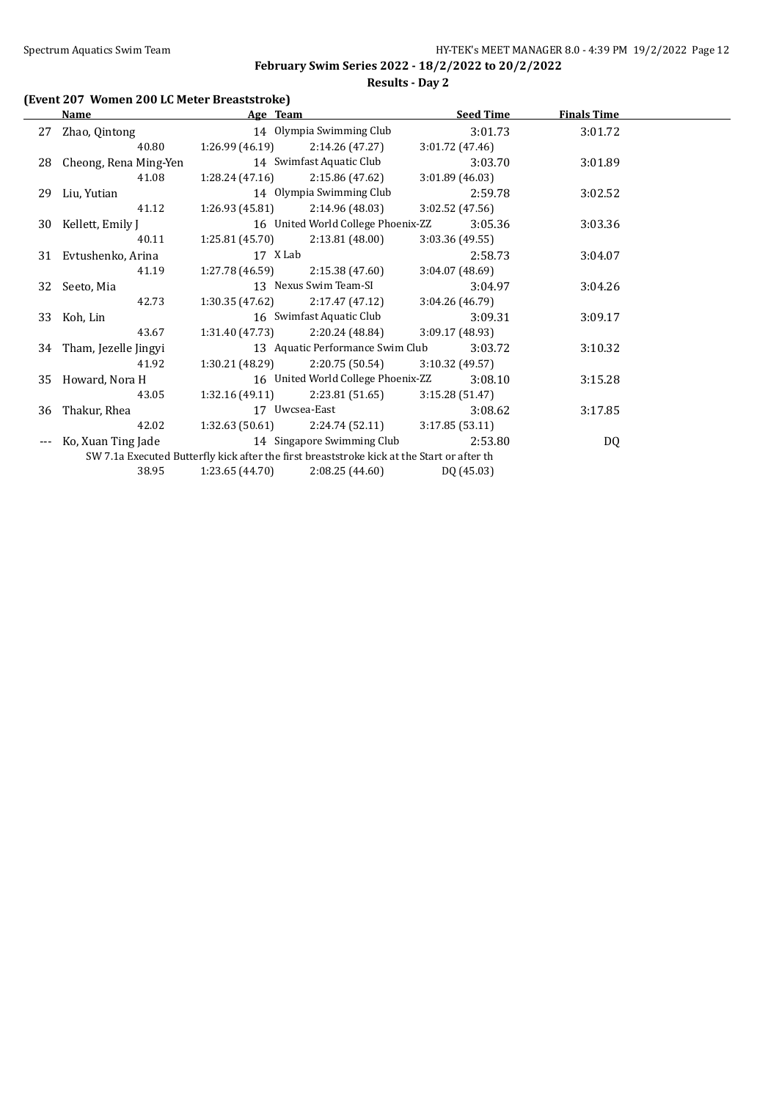# **Results - Day 2**

# **(Event 207 Women 200 LC Meter Breaststroke)**

|    | Name                     | Age Team        |                                                                                            |                 | <b>Seed Time</b> | <b>Finals Time</b> |  |
|----|--------------------------|-----------------|--------------------------------------------------------------------------------------------|-----------------|------------------|--------------------|--|
| 27 | Zhao, Qintong            |                 | 14 Olympia Swimming Club                                                                   |                 | 3:01.73          | 3:01.72            |  |
|    | 40.80                    | 1:26.99 (46.19) | 2:14.26 (47.27)                                                                            | 3:01.72(47.46)  |                  |                    |  |
|    | 28 Cheong, Rena Ming-Yen |                 | 14 Swimfast Aquatic Club                                                                   |                 | 3:03.70          | 3:01.89            |  |
|    | 41.08                    | 1:28.24(47.16)  | 2:15.86 (47.62)                                                                            | 3:01.89(46.03)  |                  |                    |  |
|    | 29 Liu, Yutian           |                 | 14 Olympia Swimming Club                                                                   |                 | 2:59.78          | 3:02.52            |  |
|    | 41.12                    | 1:26.93 (45.81) | 2:14.96(48.03)                                                                             | 3:02.52 (47.56) |                  |                    |  |
|    | 30 Kellett, Emily J      |                 | 16 United World College Phoenix-ZZ                                                         |                 | 3:05.36          | 3:03.36            |  |
|    | 40.11                    | 1:25.81 (45.70) | 2:13.81 (48.00)                                                                            | 3:03.36(49.55)  |                  |                    |  |
|    | 31 Evtushenko, Arina     | 17 X Lab        |                                                                                            |                 | 2:58.73          | 3:04.07            |  |
|    | 41.19                    | 1:27.78 (46.59) | 2:15.38 (47.60)                                                                            | 3:04.07 (48.69) |                  |                    |  |
|    | 32 Seeto, Mia            |                 | 13 Nexus Swim Team-SI                                                                      |                 | 3:04.97          | 3:04.26            |  |
|    | 42.73                    | 1:30.35 (47.62) | 2:17.47 (47.12)                                                                            | 3:04.26(46.79)  |                  |                    |  |
|    | 33 Koh, Lin              |                 | 16 Swimfast Aquatic Club                                                                   |                 | 3:09.31          | 3:09.17            |  |
|    | 43.67                    | 1:31.40 (47.73) | 2:20.24 (48.84)                                                                            | 3:09.17 (48.93) |                  |                    |  |
|    | 34 Tham, Jezelle Jingyi  |                 | 13 Aquatic Performance Swim Club                                                           |                 | 3:03.72          | 3:10.32            |  |
|    | 41.92                    | 1:30.21 (48.29) | 2:20.75 (50.54)                                                                            | 3:10.32(49.57)  |                  |                    |  |
|    | 35 Howard, Nora H        |                 | 16 United World College Phoenix-ZZ                                                         |                 | 3:08.10          | 3:15.28            |  |
|    | 43.05                    | 1:32.16(49.11)  | 2:23.81 (51.65)                                                                            | 3:15.28(51.47)  |                  |                    |  |
| 36 | Thakur, Rhea             |                 | 17 Uwcsea-East                                                                             |                 | 3:08.62          | 3:17.85            |  |
|    | 42.02                    | 1:32.63 (50.61) | 2:24.74 (52.11)                                                                            | 3:17.85(53.11)  |                  |                    |  |
|    | Ko, Xuan Ting Jade       |                 | 14 Singapore Swimming Club                                                                 |                 | 2:53.80          | DQ                 |  |
|    |                          |                 | SW 7.1a Executed Butterfly kick after the first breaststroke kick at the Start or after th |                 |                  |                    |  |
|    | 38.95                    | 1:23.65(44.70)  | 2:08.25(44.60)                                                                             | DQ (45.03)      |                  |                    |  |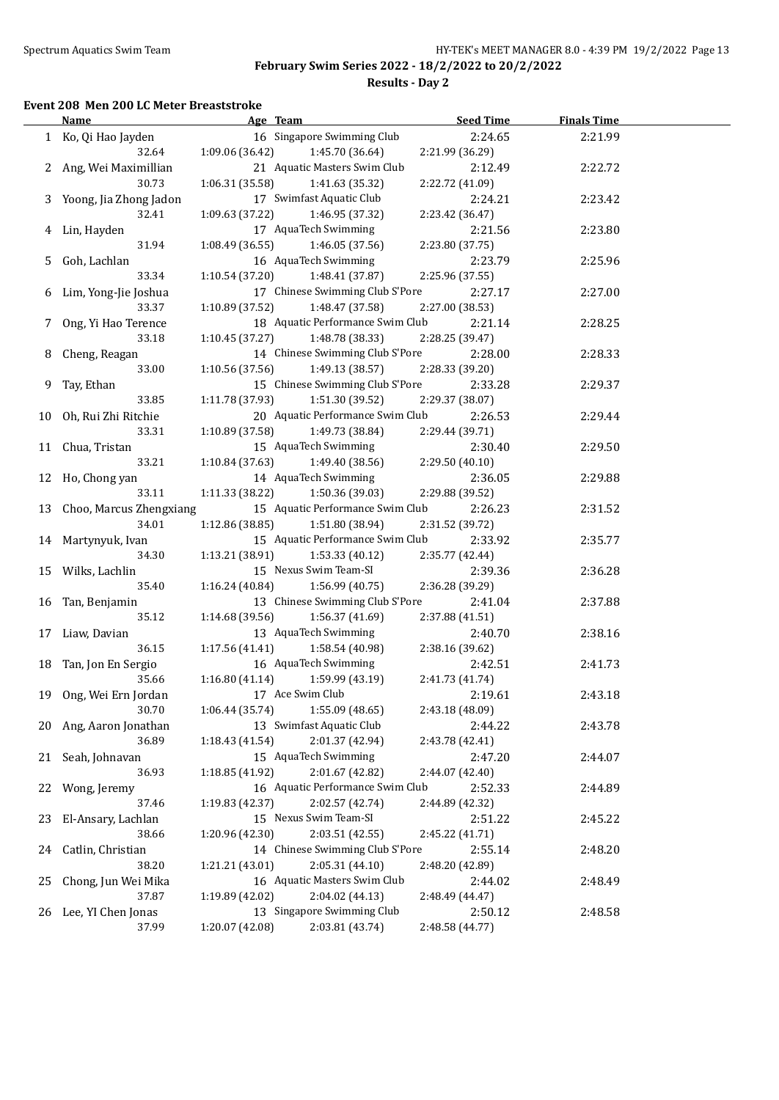**Results - Day 2**

### **Event 208 Men 200 LC Meter Breaststroke**

|    | <b>Name</b>                | Age Team                                    | <b>Seed Time</b> | <b>Finals Time</b> |  |
|----|----------------------------|---------------------------------------------|------------------|--------------------|--|
|    | 1 Ko, Qi Hao Jayden        | 16 Singapore Swimming Club                  | 2:24.65          | 2:21.99            |  |
|    | 32.64                      | 1:09.06 (36.42)<br>1:45.70 (36.64)          | 2:21.99 (36.29)  |                    |  |
|    | 2 Ang, Wei Maximillian     | 21 Aquatic Masters Swim Club                | 2:12.49          | 2:22.72            |  |
|    | 30.73                      | 1:06.31(35.58)<br>1:41.63 (35.32)           | 2:22.72 (41.09)  |                    |  |
|    | 3 Yoong, Jia Zhong Jadon   | 17 Swimfast Aquatic Club                    | 2:24.21          | 2:23.42            |  |
|    | 32.41                      | 1:09.63 (37.22)<br>1:46.95 (37.32)          | 2:23.42 (36.47)  |                    |  |
|    | 4 Lin, Hayden              | 17 AquaTech Swimming                        | 2:21.56          | 2:23.80            |  |
|    | 31.94                      | 1:08.49 (36.55)<br>1:46.05 (37.56)          | 2:23.80 (37.75)  |                    |  |
|    | Goh, Lachlan               | 16 AquaTech Swimming                        |                  |                    |  |
| 5. |                            |                                             | 2:23.79          | 2:25.96            |  |
|    | 33.34                      | 1:10.54 (37.20)<br>1:48.41 (37.87)          | 2:25.96 (37.55)  |                    |  |
|    | 6 Lim, Yong-Jie Joshua     | 17 Chinese Swimming Club S'Pore             | 2:27.17          | 2:27.00            |  |
|    | 33.37                      | 1:10.89 (37.52)<br>1:48.47 (37.58)          | 2:27.00 (38.53)  |                    |  |
| 7  | Ong, Yi Hao Terence        | 18 Aquatic Performance Swim Club<br>2:21.14 |                  | 2:28.25            |  |
|    | 33.18                      | 1:10.45 (37.27)<br>1:48.78 (38.33)          | 2:28.25 (39.47)  |                    |  |
| 8  | Cheng, Reagan              | 14 Chinese Swimming Club S'Pore             | 2:28.00          | 2:28.33            |  |
|    | 33.00                      | 1:49.13 (38.57)<br>1:10.56 (37.56)          | 2:28.33 (39.20)  |                    |  |
| 9. | Tay, Ethan                 | 15 Chinese Swimming Club S'Pore             | 2:33.28          | 2:29.37            |  |
|    | 33.85                      | 1:11.78(37.93)<br>1:51.30 (39.52)           | 2:29.37 (38.07)  |                    |  |
|    | 10 Oh, Rui Zhi Ritchie     | 20 Aquatic Performance Swim Club            | 2:26.53          | 2:29.44            |  |
|    | 33.31                      | 1:10.89(37.58)<br>1:49.73 (38.84)           | 2:29.44 (39.71)  |                    |  |
|    | 11 Chua, Tristan           | 15 AquaTech Swimming                        | 2:30.40          | 2:29.50            |  |
|    | 33.21                      | 1:10.84(37.63)<br>1:49.40 (38.56)           | 2:29.50 (40.10)  |                    |  |
|    | 12 Ho, Chong yan           | 14 AquaTech Swimming                        | 2:36.05          | 2:29.88            |  |
|    | 33.11                      | 1:11.33 (38.22)<br>1:50.36 (39.03)          | 2:29.88 (39.52)  |                    |  |
|    | 13 Choo, Marcus Zhengxiang | 15 Aquatic Performance Swim Club            | 2:26.23          | 2:31.52            |  |
|    | 34.01                      | 1:51.80 (38.94)<br>1:12.86(38.85)           | 2:31.52 (39.72)  |                    |  |
|    | 14 Martynyuk, Ivan         | 15 Aquatic Performance Swim Club            | 2:33.92          | 2:35.77            |  |
|    | 34.30                      | 1:13.21(38.91)<br>1:53.33 (40.12)           | 2:35.77 (42.44)  |                    |  |
|    | 15 Wilks, Lachlin          | 15 Nexus Swim Team-SI                       | 2:39.36          | 2:36.28            |  |
|    | 35.40                      | 1:16.24 (40.84)<br>1:56.99 (40.75)          | 2:36.28 (39.29)  |                    |  |
|    |                            | 13 Chinese Swimming Club S'Pore             | 2:41.04          |                    |  |
|    | 16 Tan, Benjamin           |                                             |                  | 2:37.88            |  |
|    | 35.12                      | 1:14.68 (39.56)<br>1:56.37 (41.69)          | 2:37.88 (41.51)  |                    |  |
| 17 | Liaw, Davian               | 13 AquaTech Swimming                        | 2:40.70          | 2:38.16            |  |
|    | 36.15                      | 1:17.56(41.41)<br>1:58.54 (40.98)           | 2:38.16 (39.62)  |                    |  |
|    | 18 Tan, Jon En Sergio      | 16 AquaTech Swimming                        | 2:42.51          | 2:41.73            |  |
|    | 35.66                      | 1:59.99 (43.19)<br>1:16.80(41.14)           | 2:41.73 (41.74)  |                    |  |
|    | 19 Ong, Wei Ern Jordan     | 17 Ace Swim Club                            | 2:19.61          | 2:43.18            |  |
|    | 30.70                      | 1:55.09 (48.65)<br>1:06.44 (35.74)          | 2:43.18 (48.09)  |                    |  |
|    | 20 Ang, Aaron Jonathan     | 13 Swimfast Aquatic Club                    | 2:44.22          | 2:43.78            |  |
|    | 36.89                      | 2:01.37 (42.94)<br>1:18.43(41.54)           | 2:43.78 (42.41)  |                    |  |
| 21 | Seah, Johnavan             | 15 AquaTech Swimming                        | 2:47.20          | 2:44.07            |  |
|    | 36.93                      | 2:01.67 (42.82)<br>1:18.85 (41.92)          | 2:44.07 (42.40)  |                    |  |
| 22 | Wong, Jeremy               | 16 Aquatic Performance Swim Club            | 2:52.33          | 2:44.89            |  |
|    | 37.46                      | 1:19.83 (42.37)<br>2:02.57 (42.74)          | 2:44.89 (42.32)  |                    |  |
| 23 | El-Ansary, Lachlan         | 15 Nexus Swim Team-SI                       | 2:51.22          | 2:45.22            |  |
|    | 38.66                      | 1:20.96 (42.30)<br>2:03.51 (42.55)          | 2:45.22 (41.71)  |                    |  |
| 24 | Catlin, Christian          | 14 Chinese Swimming Club S'Pore             | 2:55.14          | 2:48.20            |  |
|    | 38.20                      | 2:05.31(44.10)<br>1:21.21 (43.01)           | 2:48.20 (42.89)  |                    |  |
| 25 | Chong, Jun Wei Mika        | 16 Aquatic Masters Swim Club                | 2:44.02          | 2:48.49            |  |
|    | 37.87                      | 2:04.02 (44.13)<br>1:19.89 (42.02)          | 2:48.49 (44.47)  |                    |  |
|    | 26 Lee, YI Chen Jonas      | 13 Singapore Swimming Club                  | 2:50.12          | 2:48.58            |  |
|    | 37.99                      | 1:20.07 (42.08)<br>2:03.81 (43.74)          | 2:48.58 (44.77)  |                    |  |
|    |                            |                                             |                  |                    |  |